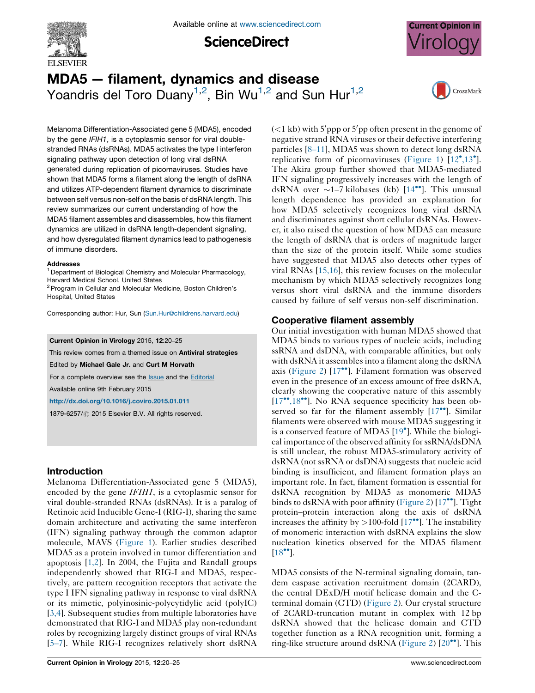

**ScienceDirect** 



# MDA5 — filament, dynamics and disease Yoandris del Toro Duany<sup>1,2</sup>, Bin Wu<sup>1,2</sup> and Sun Hur<sup>1,2</sup>



Melanoma Differentiation-Associated gene 5 (MDA5), encoded by the gene IFIH1, is a cytoplasmic sensor for viral doublestranded RNAs (dsRNAs). MDA5 activates the type I interferon signaling pathway upon detection of long viral dsRNA generated during replication of picornaviruses. Studies have shown that MDA5 forms a filament along the length of dsRNA and utilizes ATP-dependent filament dynamics to discriminate between self versus non-self on the basis of dsRNA length. This review summarizes our current understanding of how the MDA5 filament assembles and disassembles, how this filament dynamics are utilized in dsRNA length-dependent signaling, and how dysregulated filament dynamics lead to pathogenesis of immune disorders.

#### **Addresses**

<sup>1</sup> Department of Biological Chemistry and Molecular Pharmacology, Harvard Medical School, United States

<sup>2</sup> Program in Cellular and Molecular Medicine, Boston Children's Hospital, United States

Corresponding author: Hur, Sun [\(Sun.Hur@childrens.harvard.edu](mailto:Sun.Hur@childrens.harvard.edu))

Current Opinion in Virology 2015, 12:20–25

This review comes from a themed issue on **Antiviral strategies** Edited by Michael Gale Jr. and Curt M Horvath

For a complete overview see the **[Issue](http://www.sciencedirect.com/science/journal/18796257/12)** and the **[Editorial](http://dx.doi.org/10.1016/j.coviro.2015.05.001)** 

Available online 9th February 2015

<http://dx.doi.org/10.1016/j.coviro.2015.01.011>

1879-6257/ 2015 Elsevier B.V. All rights reserved.

# Introduction

Melanoma Differentiation-Associated gene 5 (MDA5), encoded by the gene IFIH1, is a cytoplasmic sensor for viral double-stranded RNAs (dsRNAs). It is a paralog of Retinoic acid Inducible Gene-I (RIG-I), sharing the same domain architecture and activating the same interferon (IFN) signaling pathway through the common adaptor molecule, MAVS [\(Figure](#page-1-0) 1). Earlier studies described MDA5 as a protein involved in tumor differentiation and apoptosis [\[1,2\]](#page-4-0). In 2004, the Fujita and Randall groups independently showed that RIG-I and MDA5, respectively, are pattern recognition receptors that activate the type I IFN signaling pathway in response to viral dsRNA or its mimetic, polyinosinic-polycytidylic acid (polyIC) [\[3,4\]](#page-4-0). Subsequent studies from multiple laboratories have demonstrated that RIG-I and MDA5 play non-redundant roles by recognizing largely distinct groups of viral RNAs [\[5](#page-4-0)–7]. While RIG-I recognizes relatively short dsRNA

 $(< 1$  kb) with 5'ppp or 5'pp often present in the genome of negative strand RNA viruses or their defective interfering particles [8–[11](#page-4-0)], MDA5 was shown to detect long dsRNA replicative form of picornaviruses [\(Figure](#page-1-0) 1) [[12](#page-4-0)°[,13](#page-4-0)°]. The Akira group further showed that MDA5-mediated IFN signaling progressively increases with the length of dsRNA over  $\sim$ 1-7 kilobases (kb) [\[14](#page-4-0)<sup>\*\*</sup>]. This unusual length dependence has provided an explanation for how MDA5 selectively recognizes long viral dsRNA and discriminates against short cellular dsRNAs. However, it also raised the question of how MDA5 can measure the length of dsRNA that is orders of magnitude larger than the size of the protein itself. While some studies have suggested that MDA5 also detects other types of viral RNAs [[15,16](#page-4-0)], this review focuses on the molecular mechanism by which MDA5 selectively recognizes long versus short viral dsRNA and the immune disorders caused by failure of self versus non-self discrimination.

# Cooperative filament assembly

Our initial investigation with human MDA5 showed that MDA5 binds to various types of nucleic acids, including ssRNA and dsDNA, with comparable affinities, but only with dsRNA it assembles into a filament along the dsRNA axis ([Figure](#page-1-0) 2) [[17](#page-4-0)<sup>\*</sup>]. Filament formation was observed even in the presence of an excess amount of free dsRNA, clearly showing the cooperative nature of this assembly [\[17](#page-4-0)\*\*[,18](#page-4-0)\*\*]. No RNA sequence specificity has been observed so far for the filament assembly  $[17$ <sup>\*\*</sup>]. Similar filaments were observed with mouse MDA5 suggesting it is a conserved feature of MDA5 [\[19](#page-5-0)<sup>°</sup>]. While the biological importance of the observed affinity for ssRNA/dsDNA is still unclear, the robust MDA5-stimulatory activity of dsRNA (not ssRNA or dsDNA) suggests that nucleic acid binding is insufficient, and filament formation plays an important role. In fact, filament formation is essential for dsRNA recognition by MDA5 as monomeric MDA5 binds to dsRNA with poor affinity [\(Figure](#page-1-0) 2)  $[17$  $[17$ <sup>\*\*</sup>]. Tight protein–protein interaction along the axis of dsRNA increases the affinity by  $>$  100-fold  $[17^{\bullet\bullet}]$  $[17^{\bullet\bullet}]$ . The instability of monomeric interaction with dsRNA explains the slow nucleation kinetics observed for the MDA5 filament  $[18$ <sup>\*\*</sup>].

MDA5 consists of the N-terminal signaling domain, tandem caspase activation recruitment domain (2CARD), the central DExD/H motif helicase domain and the Cterminal domain (CTD) ([Figure](#page-1-0) 2). Our crystal structure of 2CARD-truncation mutant in complex with 12 bp dsRNA showed that the helicase domain and CTD together function as a RNA recognition unit, forming a ring-like structure around dsRNA ([Figure](#page-1-0) 2) [\[20](#page-5-0)<sup>••</sup>]. This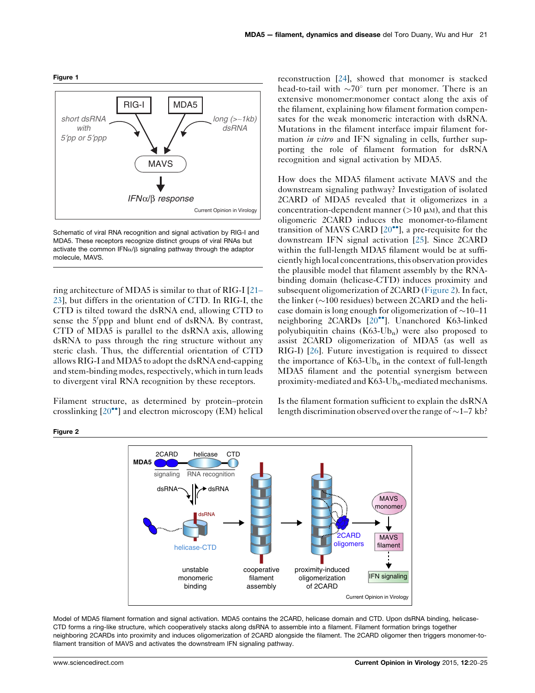<span id="page-1-0"></span>



Schematic of viral RNA recognition and signal activation by RIG-I and MDA5. These receptors recognize distinct groups of viral RNAs but activate the common IFN $\alpha$ / $\beta$  signaling pathway through the adaptor molecule, MAVS.

ring architecture of MDA5 is similar to that of RIG-I [\[21](#page-5-0)– [23\]](#page-5-0), but differs in the orientation of CTD. In RIG-I, the CTD is tilted toward the dsRNA end, allowing CTD to sense the 5'ppp and blunt end of dsRNA. By contrast, CTD of MDA5 is parallel to the dsRNA axis, allowing dsRNA to pass through the ring structure without any steric clash. Thus, the differential orientation of CTD allows RIG-I and MDA5 to adopt the dsRNA end-capping and stem-binding modes, respectively, which in turn leads to divergent viral RNA recognition by these receptors.

Filament structure, as determined by protein–protein crosslinking [[20](#page-5-0)<sup>••</sup>] and electron microscopy (EM) helical

reconstruction [\[24](#page-5-0)], showed that monomer is stacked head-to-tail with  $\sim 70^{\circ}$  turn per monomer. There is an extensive monomer:monomer contact along the axis of the filament, explaining how filament formation compensates for the weak monomeric interaction with dsRNA. Mutations in the filament interface impair filament formation in vitro and IFN signaling in cells, further supporting the role of filament formation for dsRNA recognition and signal activation by MDA5.

How does the MDA5 filament activate MAVS and the downstream signaling pathway? Investigation of isolated 2CARD of MDA5 revealed that it oligomerizes in a concentration-dependent manner  $(>10 \mu M)$ , and that this oligomeric 2CARD induces the monomer-to-filament transition of MAVS CARD  $[20^{\bullet\bullet}]$  $[20^{\bullet\bullet}]$ , a pre-requisite for the downstream IFN signal activation [[25\]](#page-5-0). Since 2CARD within the full-length MDA5 filament would be at sufficiently high local concentrations,this observation provides the plausible model that filament assembly by the RNAbinding domain (helicase-CTD) induces proximity and subsequent oligomerization of 2CARD (Figure 2). In fact, the linker  $(\sim 100$  residues) between 2CARD and the helicase domain is long enough for oligomerization of  $\sim$ 10–11 neighboring 2CARDs [\[20](#page-5-0)<sup>••</sup>]. Unanchored K63-linked polyubiquitin chains  $(K63-Ub_n)$  were also proposed to assist 2CARD oligomerization of MDA5 (as well as RIG-I) [[26\]](#page-5-0). Future investigation is required to dissect the importance of  $K63-Ub_n$  in the context of full-length MDA5 filament and the potential synergism between proximity-mediated and  $K63$ -Ub<sub>n</sub>-mediated mechanisms.

Is the filament formation sufficient to explain the dsRNA length discrimination observed over the range of  $\sim$ 1–7 kb?



Model of MDA5 filament formation and signal activation. MDA5 contains the 2CARD, helicase domain and CTD. Upon dsRNA binding, helicase-CTD forms a ring-like structure, which cooperatively stacks along dsRNA to assemble into a filament. Filament formation brings together neighboring 2CARDs into proximity and induces oligomerization of 2CARD alongside the filament. The 2CARD oligomer then triggers monomer-tofilament transition of MAVS and activates the downstream IFN signaling pathway.

Figure 2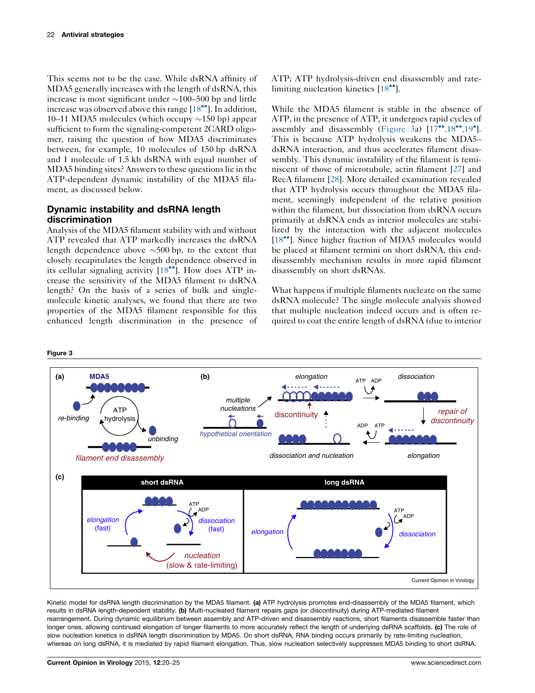<span id="page-2-0"></span>This seems not to be the case. While dsRNA affinity of MDA5 generally increases with the length of dsRNA, this increase is most significant under  $\sim$ 100–500 bp and little increase was observed above this range  $[18\text{°}$  $[18\text{°}$ . In addition, 10–11 MDA5 molecules (which occupy  $\sim$ 150 bp) appear sufficient to form the signaling-competent 2CARD oligomer, raising the question of how MDA5 discriminates between, for example, 10 molecules of 150 bp dsRNA and 1 molecule of 1.5 kb dsRNA with equal number of MDA5 binding sites? Answers to these questions lie in the ATP-dependent dynamic instability of the MDA5 filament, as discussed below.

# Dynamic instability and dsRNA length discrimination

Analysis of the MDA5 filament stability with and without ATP revealed that ATP markedly increases the dsRNA length dependence above  $\sim$ 500 bp, to the extent that closely recapitulates the length dependence observed in its cellular signaling activity [\[18](#page-4-0)\*\*]. How does ATP increase the sensitivity of the MDA5 filament to dsRNA length? On the basis of a series of bulk and singlemolecule kinetic analyses, we found that there are two properties of the MDA5 filament responsible for this enhanced length discrimination in the presence of ATP; ATP hydrolysis-driven end disassembly and rate-limiting nucleation kinetics [\[18](#page-4-0)<sup>\*</sup>].

While the MDA5 filament is stable in the absence of ATP, in the presence of ATP, it undergoes rapid cycles of assembly and disassembly (Figure 3a)  $[17…, $18$  $[17…, $18$  $[17…, $18$ …, $19$ °].$$$ This is because ATP hydrolysis weakens the MDA5– dsRNA interaction, and thus accelerates filament disassembly. This dynamic instability of the filament is reminiscent of those of microtubule, actin filament [[27\]](#page-5-0) and RecA filament [\[28](#page-5-0)]. More detailed examination revealed that ATP hydrolysis occurs throughout the MDA5 filament, seemingly independent of the relative position within the filament, but dissociation from dsRNA occurs primarily at dsRNA ends as interior molecules are stabilized by the interaction with the adjacent molecules [\[18](#page-4-0)\*\*]. Since higher fraction of MDA5 molecules would be placed at filament termini on short dsRNA, this enddisassembly mechanism results in more rapid filament disassembly on short dsRNAs.

What happens if multiple filaments nucleate on the same dsRNA molecule? The single molecule analysis showed that multiple nucleation indeed occurs and is often required to coat the entire length of dsRNA (due to interior



Kinetic model for dsRNA length discrimination by the MDA5 filament. (a) ATP hydrolysis promotes end-disassembly of the MDA5 filament, which results in dsRNA length-dependent stability. (b) Multi-nucleated filament repairs gaps (or discontinuity) during ATP-mediated filament rearrangement. During dynamic equilibrium between assembly and ATP-driven end disassembly reactions, short filaments disassemble faster than longer ones, allowing continued elongation of longer filaments to more accurately reflect the length of underlying dsRNA scaffolds. (c) The role of slow nucleation kinetics in dsRNA length discrimination by MDA5. On short dsRNA, RNA binding occurs primarily by rate-limiting nucleation, whereas on long dsRNA, it is mediated by rapid filament elongation. Thus, slow nucleation selectively suppresses MDA5 binding to short dsRNA.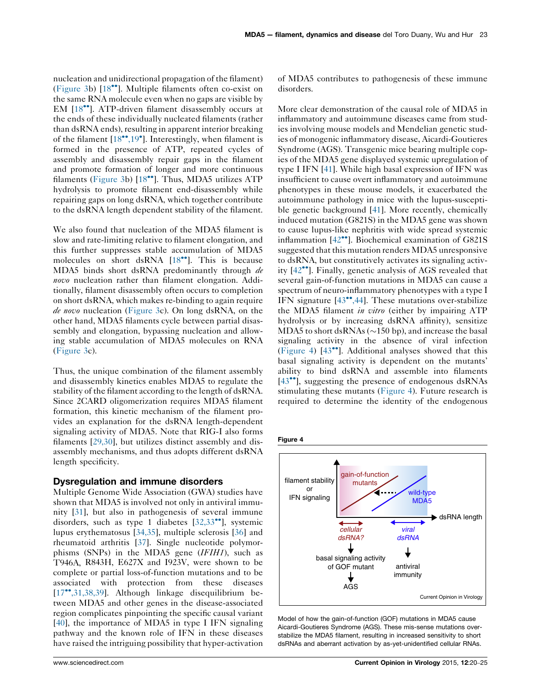nucleation and unidirectional propagation of the filament) [\(Figure](#page-2-0) 3b) [\[18](#page-4-0)<sup>\*</sup>]. Multiple filaments often co-exist on the same RNA molecule even when no gaps are visible by EM [\[18](#page-4-0)<sup>\*</sup>]. ATP-driven filament disassembly occurs at the ends of these individually nucleated filaments (rather than dsRNA ends), resulting in apparent interior breaking of the filament [\[18](#page-4-0)\*\*[,19](#page-4-0)\*]. Interestingly, when filament is formed in the presence of ATP, repeated cycles of assembly and disassembly repair gaps in the filament and promote formation of longer and more continuous filaments [\(Figure](#page-2-0) 3b) [[18](#page-4-0)\*\*]. Thus, MDA5 utilizes ATP hydrolysis to promote filament end-disassembly while repairing gaps on long dsRNA, which together contribute to the dsRNA length dependent stability of the filament.

We also found that nucleation of the MDA5 filament is slow and rate-limiting relative to filament elongation, and this further suppresses stable accumulation of MDA5 molecules on short dsRNA [\[18](#page-4-0)<sup>\*</sup>]. This is because MDA5 binds short dsRNA predominantly through de novo nucleation rather than filament elongation. Additionally, filament disassembly often occurs to completion on short dsRNA, which makes re-binding to again require de novo nucleation [\(Figure](#page-2-0) 3c). On long dsRNA, on the other hand, MDA5 filaments cycle between partial disassembly and elongation, bypassing nucleation and allowing stable accumulation of MDA5 molecules on RNA [\(Figure](#page-2-0) 3c).

Thus, the unique combination of the filament assembly and disassembly kinetics enables MDA5 to regulate the stability of the filament according to the length of dsRNA. Since 2CARD oligomerization requires MDA5 filament formation, this kinetic mechanism of the filament provides an explanation for the dsRNA length-dependent signaling activity of MDA5. Note that RIG-I also forms filaments [\[29,30\]](#page-5-0), but utilizes distinct assembly and disassembly mechanisms, and thus adopts different dsRNA length specificity.

#### Dysregulation and immune disorders

Multiple Genome Wide Association (GWA) studies have shown that MDA5 is involved not only in antiviral immunity [[31\]](#page-5-0), but also in pathogenesis of several immune disorders, such as type 1 diabetes [[32,33](#page-5-0)<sup>\*</sup>], systemic lupus erythematosus [[34,35](#page-5-0)], multiple sclerosis [[36\]](#page-5-0) and rheumatoid arthritis [[37\]](#page-5-0). Single nucleotide polymorphisms (SNPs) in the MDA5 gene (IFIH1), such as T946A, R843H, E627X and I923V, were shown to be complete or partial loss-of-function mutations and to be associated with protection from these diseases [\[17](#page-4-0)--[,31,38,39](#page-4-0)]. Although linkage disequilibrium between MDA5 and other genes in the disease-associated region complicates pinpointing the specific causal variant [\[40](#page-5-0)], the importance of MDA5 in type I IFN signaling pathway and the known role of IFN in these diseases have raised the intriguing possibility that hyper-activation of MDA5 contributes to pathogenesis of these immune disorders.

More clear demonstration of the causal role of MDA5 in inflammatory and autoimmune diseases came from studies involving mouse models and Mendelian genetic studies of monogenic inflammatory disease, Aicardi-Goutieres Syndrome (AGS). Transgenic mice bearing multiple copies of the MDA5 gene displayed systemic upregulation of type I IFN [[41\]](#page-5-0). While high basal expression of IFN was insufficient to cause overt inflammatory and autoimmune phenotypes in these mouse models, it exacerbated the autoimmune pathology in mice with the lupus-susceptible genetic background [[41](#page-5-0)]. More recently, chemically induced mutation (G821S) in the MDA5 gene was shown to cause lupus-like nephritis with wide spread systemic inflammation [[42](#page-5-0)<sup>••</sup>]. Biochemical examination of G821S suggested that this mutation renders MDA5 unresponsive to dsRNA, but constitutively activates its signaling activ-ity [[42](#page-5-0)<sup>••</sup>]. Finally, genetic analysis of AGS revealed that several gain-of-function mutations in MDA5 can cause a spectrum of neuro-inflammatory phenotypes with a type I IFN signature [\[43](#page-5-0)\*[,44](#page-5-0)]. These mutations over-stabilize the MDA5 filament in vitro (either by impairing ATP hydrolysis or by increasing dsRNA affinity), sensitize MDA5 to short dsRNAs ( $\sim$ 150 bp), and increase the basal signaling activity in the absence of viral infection (Figure 4) [\[43](#page-5-0)<sup>••</sup>]. Additional analyses showed that this basal signaling activity is dependent on the mutants' ability to bind dsRNA and assemble into filaments [[43](#page-5-0)<sup>••</sup>], suggesting the presence of endogenous dsRNAs stimulating these mutants (Figure 4). Future research is required to determine the identity of the endogenous

# Figure 4



Model of how the gain-of-function (GOF) mutations in MDA5 cause Aicardi-Goutieres Syndrome (AGS). These mis-sense mutations overstabilize the MDA5 filament, resulting in increased sensitivity to short dsRNAs and aberrant activation by as-yet-unidentified cellular RNAs.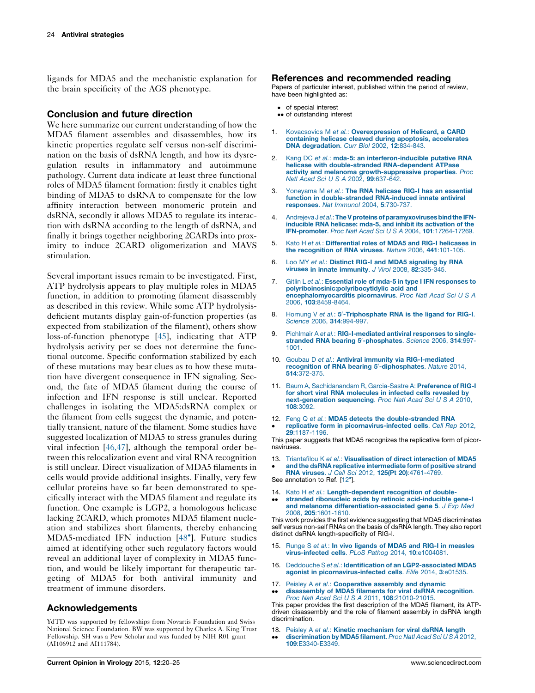<span id="page-4-0"></span>ligands for MDA5 and the mechanistic explanation for the brain specificity of the AGS phenotype.

### Conclusion and future direction

We here summarize our current understanding of how the MDA5 filament assembles and disassembles, how its kinetic properties regulate self versus non-self discrimination on the basis of dsRNA length, and how its dysregulation results in inflammatory and autoimmune pathology. Current data indicate at least three functional roles of MDA5 filament formation: firstly it enables tight binding of MDA5 to dsRNA to compensate for the low affinity interaction between monomeric protein and dsRNA, secondly it allows MDA5 to regulate its interaction with dsRNA according to the length of dsRNA, and finally it brings together neighboring 2CARDs into proximity to induce 2CARD oligomerization and MAVS stimulation.

Several important issues remain to be investigated. First, ATP hydrolysis appears to play multiple roles in MDA5 function, in addition to promoting filament disassembly as described in this review. While some ATP hydrolysisdeficient mutants display gain-of-function properties (as expected from stabilization of the filament), others show loss-of-function phenotype [[45\]](#page-5-0), indicating that ATP hydrolysis activity per se does not determine the functional outcome. Specific conformation stabilized by each of these mutations may bear clues as to how these mutation have divergent consequence in IFN signaling. Second, the fate of MDA5 filament during the course of infection and IFN response is still unclear. Reported challenges in isolating the MDA5:dsRNA complex or the filament from cells suggest the dynamic, and potentially transient, nature of the filament. Some studies have suggested localization of MDA5 to stress granules during viral infection [\[46,47\]](#page-5-0), although the temporal order between this relocalization event and viral RNA recognition is still unclear. Direct visualization of MDA5 filaments in cells would provide additional insights. Finally, very few cellular proteins have so far been demonstrated to specifically interact with the MDA5 filament and regulate its function. One example is LGP2, a homologous helicase lacking 2CARD, which promotes MDA5 filament nucleation and stabilizes short filaments, thereby enhancing MDA5-mediated IFN induction [[48](#page-5-0)<sup>°</sup>]. Future studies aimed at identifying other such regulatory factors would reveal an additional layer of complexity in MDA5 function, and would be likely important for therapeutic targeting of MDA5 for both antiviral immunity and treatment of immune disorders.

## Acknowledgements

YdTD was supported by fellowships from Novartis Foundation and Swiss National Science Foundation. BW was supported by Charles A. King Trust Fellowship. SH was a Pew Scholar and was funded by NIH R01 grant (AI106912 and AI111784).

### References and recommended reading

Papers of particular interest, published within the period of review, have been highlighted as:

- of special interest
- •• of outstanding interest
- 1. Kovacsovics M et al.: [Overexpression](http://refhub.elsevier.com/S1879-6257(15)00013-9/sbref0245) of Helicard, a CARD containing helicase cleaved during apoptosis, [accelerates](http://refhub.elsevier.com/S1879-6257(15)00013-9/sbref0245) DNA [degradation](http://refhub.elsevier.com/S1879-6257(15)00013-9/sbref0245). Curr Biol 2002, 12:834-843.
- 2. Kang DC et al.: mda-5: an [interferon-inducible](http://refhub.elsevier.com/S1879-6257(15)00013-9/sbref0250) putative RNA helicase with [double-stranded](http://refhub.elsevier.com/S1879-6257(15)00013-9/sbref0250) RNA-dependent ATPase activity and melanoma [growth-suppressive](http://refhub.elsevier.com/S1879-6257(15)00013-9/sbref0250) properties. Proc Natl Acad Sci U S A 2002, 99[:637-642.](http://refhub.elsevier.com/S1879-6257(15)00013-9/sbref0250)
- 3. [Yoneyama](http://refhub.elsevier.com/S1879-6257(15)00013-9/sbref0255) M et al.: The RNA helicase RIG-I has an essential function in [double-stranded](http://refhub.elsevier.com/S1879-6257(15)00013-9/sbref0255) RNA-induced innate antiviral [responses](http://refhub.elsevier.com/S1879-6257(15)00013-9/sbref0255). Nat Immunol 2004, 5:730-737.
- 4. Andrejeva Jetal.: The V proteins of paramyxoviruses bind the IFNinducible RNA helicase: mda-5, and inhibit its [activation](http://refhub.elsevier.com/S1879-6257(15)00013-9/sbref0260) of the IFN-promoter. Proc Natl Acad Sci U S A 2004, 101[:17264-17269.](http://refhub.elsevier.com/S1879-6257(15)00013-9/sbref0260)
- 5. Kato H et al.: [Differential](http://refhub.elsevier.com/S1879-6257(15)00013-9/sbref0265) roles of MDA5 and RIG-I helicases in the [recognition](http://refhub.elsevier.com/S1879-6257(15)00013-9/sbref0265) of RNA viruses. Nature 2006, 441:101-105.
- 6. Loo MY et al.: Distinct RIG-I and MDA5 [signaling](http://refhub.elsevier.com/S1879-6257(15)00013-9/sbref0270) by RNA viruses in innate [immunity](http://refhub.elsevier.com/S1879-6257(15)00013-9/sbref0270). J Virol 2008, 82:335-345.
- 7. Gitlin L et al.: Essential role of mda-5 in type I IFN [responses](http://refhub.elsevier.com/S1879-6257(15)00013-9/sbref0275) to [polyriboinosinic:polyribocytidylic](http://refhub.elsevier.com/S1879-6257(15)00013-9/sbref0275) acid and [encephalomyocarditis](http://refhub.elsevier.com/S1879-6257(15)00013-9/sbref0275) picornavirus. Proc Natl Acad Sci U S A 2006, 103[:8459-8464.](http://refhub.elsevier.com/S1879-6257(15)00013-9/sbref0275)
- 8. [Hornung](http://refhub.elsevier.com/S1879-6257(15)00013-9/sbref0280) V et al.: 5'[-Triphosphate](http://refhub.elsevier.com/S1879-6257(15)00013-9/sbref0280) RNA is the ligand for RIG-I. Science 2006, 314[:994-997.](http://refhub.elsevier.com/S1879-6257(15)00013-9/sbref0280)
- 9. Pichlmair A et al.: [RIG-I-mediated](http://refhub.elsevier.com/S1879-6257(15)00013-9/sbref0285) antiviral responses to single[stranded](http://refhub.elsevier.com/S1879-6257(15)00013-9/sbref0285) RNA bearing 5'[-phosphates](http://refhub.elsevier.com/S1879-6257(15)00013-9/sbref0285). Science 2006, 314:997-[1001.](http://refhub.elsevier.com/S1879-6257(15)00013-9/sbref0285)
- 10. Goubau D et al.: Antiviral immunity via [RIG-I-mediated](http://refhub.elsevier.com/S1879-6257(15)00013-9/sbref0290) [recognition](http://refhub.elsevier.com/S1879-6257(15)00013-9/sbref0290) of RNA bearing 5'[-diphosphates](http://refhub.elsevier.com/S1879-6257(15)00013-9/sbref0290). Nature 2014, 514[:372-375.](http://refhub.elsevier.com/S1879-6257(15)00013-9/sbref0290)
- 11. Baum A, [Sachidanandam](http://refhub.elsevier.com/S1879-6257(15)00013-9/sbref0295) R, Garcia-Sastre A: Preference of RIG-I for short viral RNA [molecules](http://refhub.elsevier.com/S1879-6257(15)00013-9/sbref0295) in infected cells revealed by [next-generation](http://refhub.elsevier.com/S1879-6257(15)00013-9/sbref0295) sequencing. Proc Natl Acad Sci U S A 2010, 108[:3092.](http://refhub.elsevier.com/S1879-6257(15)00013-9/sbref0295)
- 12. Feng Q et al.: MDA5 detects the [double-stranded](http://refhub.elsevier.com/S1879-6257(15)00013-9/sbref0300) RNA replicative form in [picornavirus-infected](http://refhub.elsevier.com/S1879-6257(15)00013-9/sbref0300) cells. Cell Rep 2012, 29[:1187-1196.](http://refhub.elsevier.com/S1879-6257(15)00013-9/sbref0300)

This paper suggests that MDA5 recognizes the replicative form of picornaviruses.

- 13. Triantafilou K et al.: [Visualisation](http://refhub.elsevier.com/S1879-6257(15)00013-9/sbref0305) of direct interaction of MDA5
- and the dsRNA replicative [intermediate](http://refhub.elsevier.com/S1879-6257(15)00013-9/sbref0305) form of positive strand RNA viruses. J Cell Sci 2012, 125(Pt 20)[:4761-4769.](http://refhub.elsevier.com/S1879-6257(15)00013-9/sbref0305)

See annotation to Ref. [12°].

- 14. Kato H et al.: [Length-dependent](http://refhub.elsevier.com/S1879-6257(15)00013-9/sbref0310) recognition of double-
- -stranded ribonucleic acids by retinoic [acid-inducible](http://refhub.elsevier.com/S1879-6257(15)00013-9/sbref0310) gene-I and melanoma [differentiation-associated](http://refhub.elsevier.com/S1879-6257(15)00013-9/sbref0310) gene 5. J Exp Med 2008, 205[:1601-1610.](http://refhub.elsevier.com/S1879-6257(15)00013-9/sbref0310)

This work provides the first evidence suggesting that MDA5 discriminates self versus non-self RNAs on the basis of dsRNA length. They also report distinct dsRNA length-specificity of RIG-I.

- 15. Runge S et al.: In vivo ligands of MDA5 and RIG-I in [measles](http://refhub.elsevier.com/S1879-6257(15)00013-9/sbref0315)<br>[virus-infected](http://refhub.elsevier.com/S1879-6257(15)00013-9/sbref0315) cells. PLoS Pathog 2014, 10:e1004081.
- 16. Deddouche S et al.: Identification of an [LGP2-associated](http://refhub.elsevier.com/S1879-6257(15)00013-9/sbref0320) MDA5 agonist in [picornavirus-infected](http://refhub.elsevier.com/S1879-6257(15)00013-9/sbref0320) cells. Elife 2014, 3:e01535.
- 17. Peisley A et al.: [Cooperative](http://refhub.elsevier.com/S1879-6257(15)00013-9/sbref0325) assembly and dynamic
- $\bullet \bullet$ [disassembly](http://refhub.elsevier.com/S1879-6257(15)00013-9/sbref0325) of MDA5 filaments for viral dsRNA recognition. Proc Natl Acad Sci U S A 2011, 108[:21010-21015.](http://refhub.elsevier.com/S1879-6257(15)00013-9/sbref0325)

This paper provides the first description of the MDA5 filament, its ATPdriven disassembly and the role of filament assembly in dsRNA length discrimination.

- 18. Peisley A et al.: Kinetic [mechanism](http://refhub.elsevier.com/S1879-6257(15)00013-9/sbref0330) for viral dsRNA length
- -[discrimination](http://refhub.elsevier.com/S1879-6257(15)00013-9/sbref0330) by MDA5 filament. Proc Natl Acad Sci U S A 2012, 109[:E3340-E3349.](http://refhub.elsevier.com/S1879-6257(15)00013-9/sbref0330)